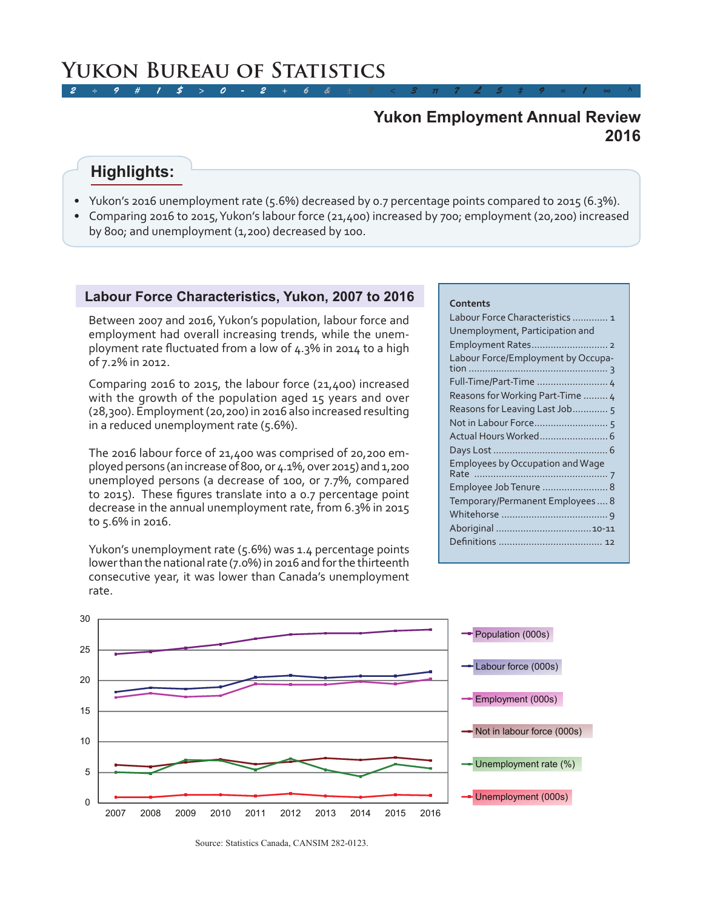# **2016 Yukon Employment Annual Review**

# **Highlights:**

- Yukon's 2016 unemployment rate (5.6%) decreased by 0.7 percentage points compared to 2015 (6.3%).
- Comparing 2016 to 2015, Yukon's labour force (21,400) increased by 700; employment (20,200) increased by 800; and unemployment (1,200) decreased by 100.

## **Labour Force Characteristics, Yukon, 2007 to 2016**

Between 2007 and 2016, Yukon's population, labour force and employment had overall increasing trends, while the unemployment rate fluctuated from a low of 4.3% in 2014 to a high of 7.2% in 2012.

Comparing 2016 to 2015, the labour force (21,400) increased with the growth of the population aged 15 years and over (28,300). Employment (20,200) in 2016 also increased resulting in a reduced unemployment rate (5.6%).

The 2016 labour force of 21,400 was comprised of 20,200 employed persons (an increase of 800, or 4.1%, over 2015) and 1,200 unemployed persons (a decrease of 100, or 7.7%, compared to 2015). These figures translate into a 0.7 percentage point decrease in the annual unemployment rate, from 6.3% in 2015 to 5.6% in 2016.

Yukon's unemployment rate (5.6%) was 1.4 percentage points lower than the national rate (7.0%) in 2016 and for the thirteenth consecutive year, it was lower than Canada's unemployment rate.

### **Contents**

| Labour Force Characteristics  1         |
|-----------------------------------------|
| Unemployment, Participation and         |
|                                         |
| Labour Force/Employment by Occupa-      |
| Full-Time/Part-Time  4                  |
| Reasons for Working Part-Time  4        |
| Reasons for Leaving Last Job 5          |
|                                         |
|                                         |
|                                         |
| <b>Employees by Occupation and Wage</b> |
|                                         |
| Employee Job Tenure  8                  |
| Temporary/Permanent Employees 8         |
|                                         |
|                                         |
|                                         |
|                                         |



Source: Statistics Canada, CANSIM 282-0123.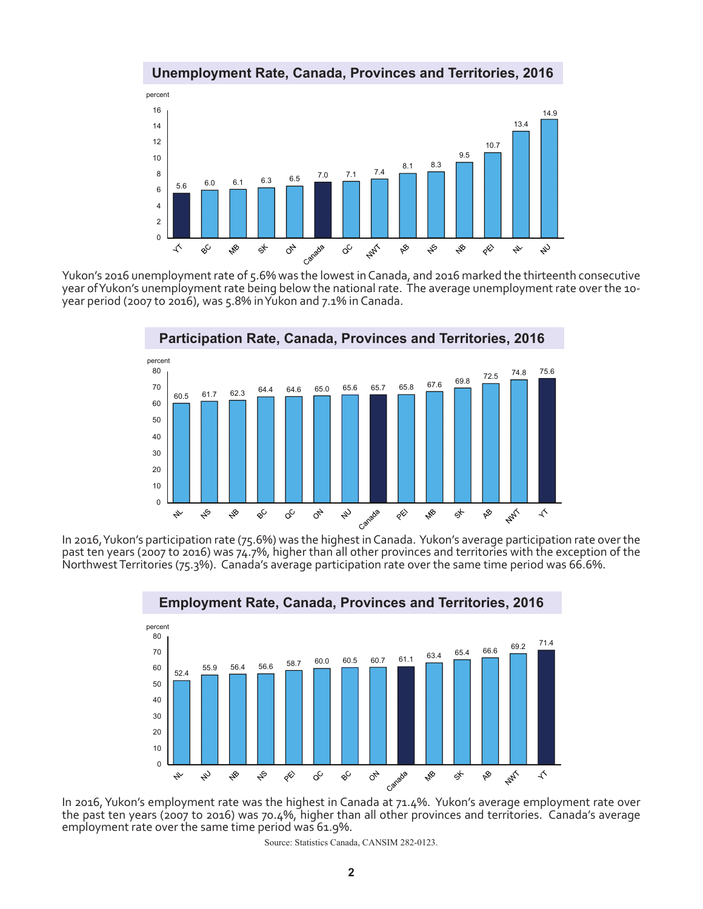

**Unemployment Rate, Canada, Provinces and Territories, 2016**

Yukon's 2016 unemployment rate of 5.6% was the lowest in Canada, and 2016 marked the thirteenth consecutive year of Yukon's unemployment rate being below the national rate. The average unemployment rate over the 10 year period (2007 to 2016), was 5.8% in Yukon and 7.1% in Canada.



In 2016, Yukon's participation rate (75.6%) was the highest in Canada. Yukon's average participation rate over the past ten years (2007 to 2016) was 74.7%, higher than all other provinces and territories with the exception of the Northwest Territories (75.3%). Canada's average participation rate over the same time period was 66.6%.



**Employment Rate, Canada, Provinces and Territories, 2016**

the past ten years (2007 to 2016) was 70.4%, higher than all other provinces and territories. Canada's average employment rate over the same time period was 61.9%.

Source: Statistics Canada, CANSIM 282-0123.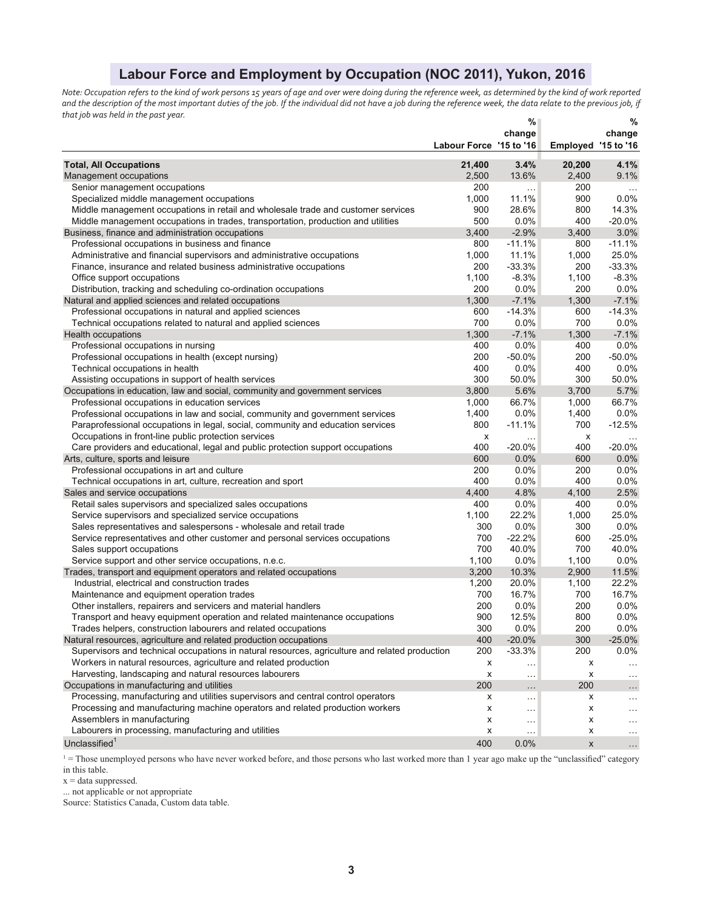# **Labour Force and Employment by Occupation (NOC 2011), Yukon, 2016**

*Note: Occupation refers to the kind of work persons 15 years of age and over were doing during the reference week, as determined by the kind of work reported*  and the description of the most important duties of the job. If the individual did not have a job during the reference week, the data relate to the previous job, if *that job was held in the past year.* **% %** 

|                                                                                                |                         | ‰<br>change   |                     | %<br>change |
|------------------------------------------------------------------------------------------------|-------------------------|---------------|---------------------|-------------|
|                                                                                                | Labour Force '15 to '16 |               | Employed '15 to '16 |             |
| <b>Total, All Occupations</b>                                                                  | 21,400                  | 3.4%          | 20,200              | 4.1%        |
| Management occupations                                                                         | 2,500                   | 13.6%         | 2,400               | 9.1%        |
| Senior management occupations                                                                  | 200                     | $\ldots$      | 200                 |             |
| Specialized middle management occupations                                                      | 1,000                   | 11.1%         | 900                 | 0.0%        |
| Middle management occupations in retail and wholesale trade and customer services              | 900                     | 28.6%         | 800                 | 14.3%       |
| Middle management occupations in trades, transportation, production and utilities              | 500                     | 0.0%          | 400                 | $-20.0%$    |
| Business, finance and administration occupations                                               | 3,400                   | $-2.9%$       | 3,400               | 3.0%        |
| Professional occupations in business and finance                                               | 800                     | $-11.1%$      | 800                 | $-11.1%$    |
| Administrative and financial supervisors and administrative occupations                        | 1,000                   | 11.1%         | 1,000               | 25.0%       |
| Finance, insurance and related business administrative occupations                             | 200                     | $-33.3%$      | 200                 | $-33.3%$    |
| Office support occupations                                                                     | 1,100                   | $-8.3%$       | 1,100               | $-8.3%$     |
| Distribution, tracking and scheduling co-ordination occupations                                | 200                     | 0.0%          | 200                 | 0.0%        |
| Natural and applied sciences and related occupations                                           | 1,300                   | $-7.1%$       | 1,300               | $-7.1%$     |
| Professional occupations in natural and applied sciences                                       | 600                     | $-14.3%$      | 600                 | $-14.3%$    |
| Technical occupations related to natural and applied sciences                                  | 700                     | 0.0%          | 700                 | 0.0%        |
| <b>Health occupations</b>                                                                      | 1,300                   | $-7.1%$       | 1,300               | $-7.1%$     |
| Professional occupations in nursing                                                            | 400                     | 0.0%          | 400                 | 0.0%        |
| Professional occupations in health (except nursing)                                            | 200                     | $-50.0%$      | 200                 | $-50.0%$    |
| Technical occupations in health                                                                | 400                     | 0.0%          | 400                 | 0.0%        |
| Assisting occupations in support of health services                                            | 300                     | 50.0%         | 300                 | 50.0%       |
| Occupations in education, law and social, community and government services                    | 3,800                   | 5.6%          | 3,700               | 5.7%        |
| Professional occupations in education services                                                 | 1,000                   | 66.7%         | 1,000               | 66.7%       |
| Professional occupations in law and social, community and government services                  | 1,400                   | 0.0%          | 1,400               | 0.0%        |
| Paraprofessional occupations in legal, social, community and education services                | 800                     | $-11.1%$      | 700                 | $-12.5%$    |
| Occupations in front-line public protection services                                           | x                       |               | x                   |             |
| Care providers and educational, legal and public protection support occupations                | 400                     | $-20.0%$      | 400                 | $-20.0%$    |
| Arts, culture, sports and leisure                                                              | 600                     | 0.0%          | 600                 | 0.0%        |
| Professional occupations in art and culture                                                    | 200                     | 0.0%          | 200                 | 0.0%        |
| Technical occupations in art, culture, recreation and sport                                    | 400                     | 0.0%          | 400                 | 0.0%        |
| Sales and service occupations                                                                  | 4,400                   | 4.8%          | 4,100               | 2.5%        |
| Retail sales supervisors and specialized sales occupations                                     | 400                     | 0.0%          | 400                 | 0.0%        |
| Service supervisors and specialized service occupations                                        | 1,100                   | 22.2%         | 1,000               | 25.0%       |
| Sales representatives and salespersons - wholesale and retail trade                            | 300                     | 0.0%          | 300                 | 0.0%        |
| Service representatives and other customer and personal services occupations                   | 700                     | $-22.2%$      | 600                 | $-25.0%$    |
| Sales support occupations                                                                      | 700                     | 40.0%         | 700                 | 40.0%       |
| Service support and other service occupations, n.e.c.                                          | 1,100                   | 0.0%          | 1,100               | 0.0%        |
| Trades, transport and equipment operators and related occupations                              | 3,200                   | 10.3%         | 2,900               | 11.5%       |
| Industrial, electrical and construction trades                                                 | 1,200                   | 20.0%         | 1,100               | 22.2%       |
| Maintenance and equipment operation trades                                                     | 700                     | 16.7%         | 700                 | 16.7%       |
| Other installers, repairers and servicers and material handlers                                | 200                     | 0.0%          | 200                 | 0.0%        |
| Transport and heavy equipment operation and related maintenance occupations                    | 900                     | 12.5%         | 800                 | 0.0%        |
| Trades helpers, construction labourers and related occupations                                 | 300                     | 0.0%          | 200                 | 0.0%        |
| Natural resources, agriculture and related production occupations                              | 400                     | $-20.0%$      | 300                 | $-25.0%$    |
| Supervisors and technical occupations in natural resources, agriculture and related production | 200                     | $-33.3%$      | 200                 | $0.0\%$     |
| Workers in natural resources, agriculture and related production                               | х                       | $\sim$ $\sim$ | x                   | $\cdots$    |
| Harvesting, landscaping and natural resources labourers                                        | х                       | $\ldots$      | x                   | .           |
| Occupations in manufacturing and utilities                                                     | 200                     | $\ldots$      | 200                 | .           |
| Processing, manufacturing and utilities supervisors and central control operators              | x                       | $\cdots$      | x                   | $\cdots$    |
| Processing and manufacturing machine operators and related production workers                  | x                       | $\ldots$      | x                   | .           |
| Assemblers in manufacturing                                                                    | х                       | $\sim$ .      | x                   | $\cdots$    |
| Labourers in processing, manufacturing and utilities                                           | х                       | $\cdots$      | х                   | $\cdots$    |
| Unclassified <sup>1</sup>                                                                      | 400                     | $0.0\%$       | X                   | $\ldots$    |

 $1 =$  Those unemployed persons who have never worked before, and those persons who last worked more than 1 year ago make up the "unclassified" category in this table.

 $x = data$  suppressed.

... not applicable or not appropriate

Source: Statistics Canada, Custom data table.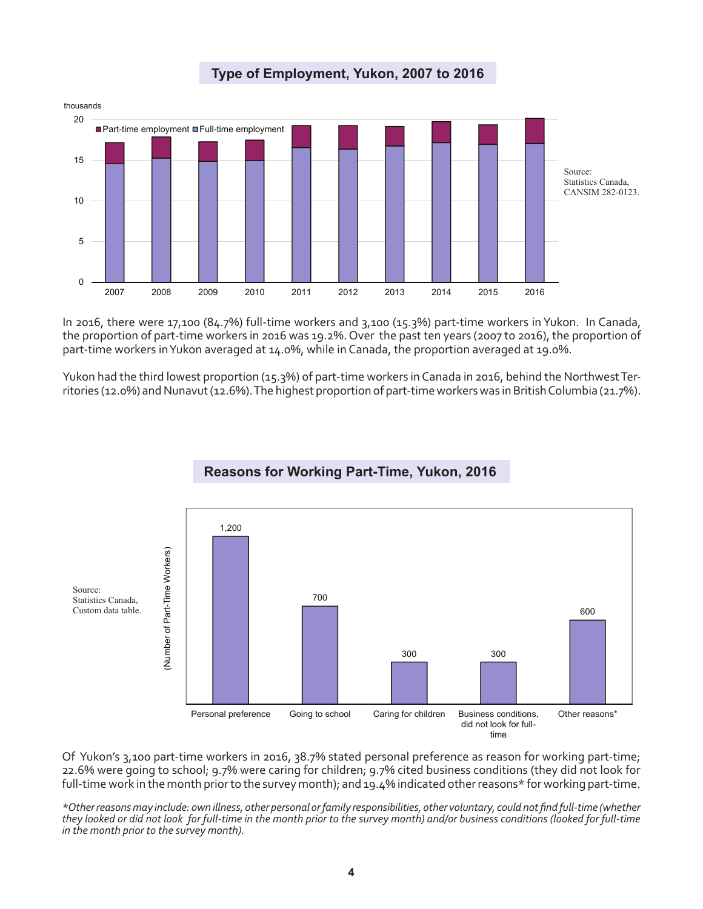

**Type of Employment, Yukon, 2007 to 2016**

In 2016, there were 17,100 (84.7%) full-time workers and 3,100 (15.3%) part-time workers in Yukon. In Canada, the proportion of part-time workers in 2016 was 19.2%. Over the past ten years (2007 to 2016), the proportion of part-time workers in Yukon averaged at 14.0%, while in Canada, the proportion averaged at 19.0%.

Yukon had the third lowest proportion (15.3%) of part-time workers in Canada in 2016, behind the Northwest Territories (12.0%) and Nunavut (12.6%). The highest proportion of part-time workers was in British Columbia (21.7%).



**Reasons for Working Part-Time, Yukon, 2016**

Of Yukon's 3,100 part-time workers in 2016, 38.7% stated personal preference as reason for working part-time; 22.6% were going to school; 9.7% were caring for children; 9.7% cited business conditions (they did not look for full-time work in the month prior to the survey month); and 19.4% indicated other reasons\* for working part-time.

*\*Other reasons may include: own illness, other personal or family responsibilities, other voluntary, could not find full-time (whether they looked or did not look for full-time in the month prior to the survey month) and/or business conditions (looked for full-time in the month prior to the survey month).*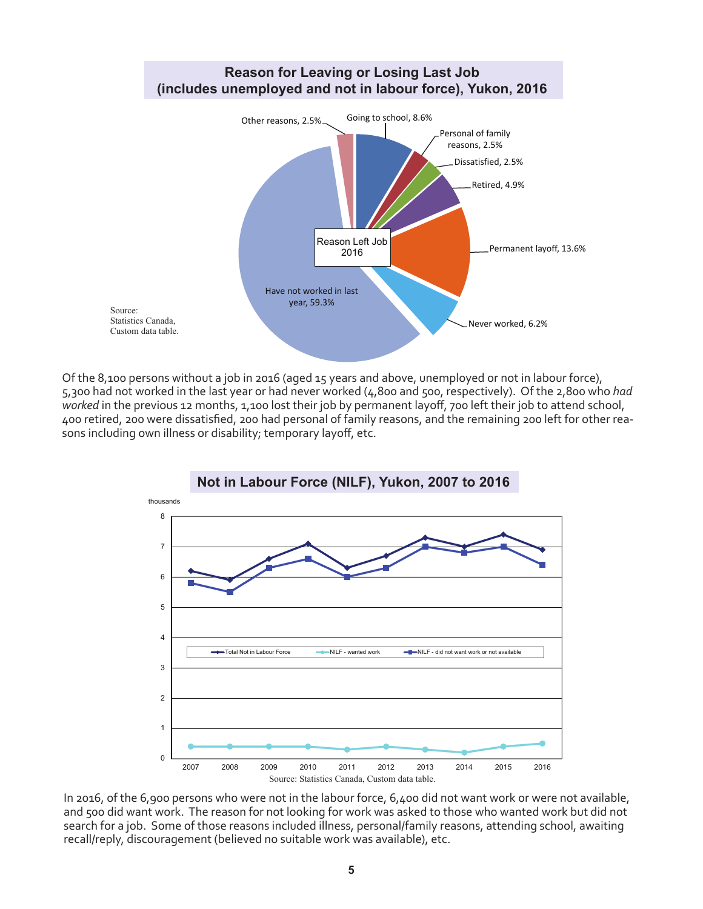

Of the 8,100 persons without a job in 2016 (aged 15 years and above, unemployed or not in labour force), 5,300 had not worked in the last year or had never worked (4,800 and 500, respectively). Of the 2,800 who *had worked* in the previous 12 months, 1,100 lost their job by permanent layoff, 700 left their job to attend school, 400 retired, 200 were dissatisfied, 200 had personal of family reasons, and the remaining 200 left for other reasons including own illness or disability; temporary layoff, etc.



In 2016, of the 6,900 persons who were not in the labour force, 6,400 did not want work or were not available, and 500 did want work. The reason for not looking for work was asked to those who wanted work but did not search for a job. Some of those reasons included illness, personal/family reasons, attending school, awaiting recall/reply, discouragement (believed no suitable work was available), etc.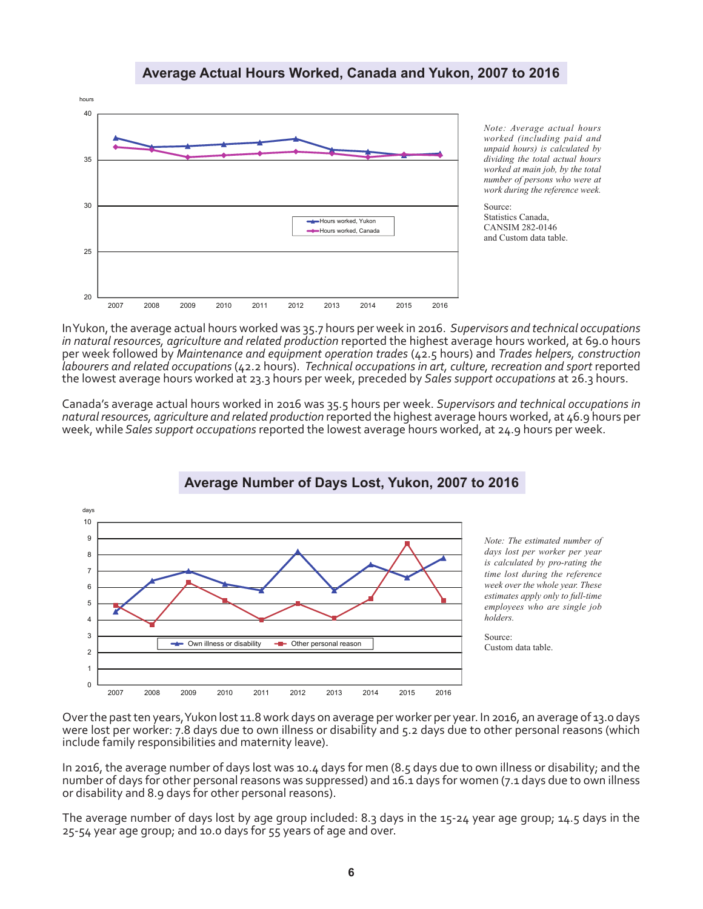

**Average Actual Hours Worked, Canada and Yukon, 2007 to 2016**

*Note: Average actual hours worked (including paid and unpaid hours) is calculated by dividing the total actual hours worked at main job, by the total number of persons who were at work during the reference week.*

Source: Statistics Canada, CANSIM 282-0146 and Custom data table.

In Yukon, the average actual hours worked was 35.7 hours per week in 2016. *Supervisors and technical occupations in natural resources, agriculture and related production* reported the highest average hours worked, at 69.0 hours per week followed by *Maintenance and equipment operation trades* (42.5 hours) and *Trades helpers, construction labourers and related occupations* (42.2 hours). *Technical occupations in art, culture, recreation and sport* reported the lowest average hours worked at 23.3 hours per week, preceded by *Sales support occupations* at 26.3 hours.

Canada's average actual hours worked in 2016 was 35.5 hours per week. *Supervisors and technical occupations in natural resources, agriculture and related production* reported the highest average hours worked, at 46.9 hours per week, while *Sales support occupations* reported the lowest average hours worked, at 24.9 hours per week.



Over the past ten years, Yukon lost 11.8 work days on average per worker per year. In 2016, an average of 13.0 days were lost per worker: 7.8 days due to own illness or disability and 5.2 days due to other personal reasons (which include family responsibilities and maternity leave).

In 2016, the average number of days lost was 10.4 days for men (8.5 days due to own illness or disability; and the number of days for other personal reasons was suppressed) and 16.1 days for women (7.1 days due to own illness or disability and 8.9 days for other personal reasons).

The average number of days lost by age group included: 8.3 days in the 15-24 year age group; 14.5 days in the 25-54 year age group; and 10.0 days for 55 years of age and over.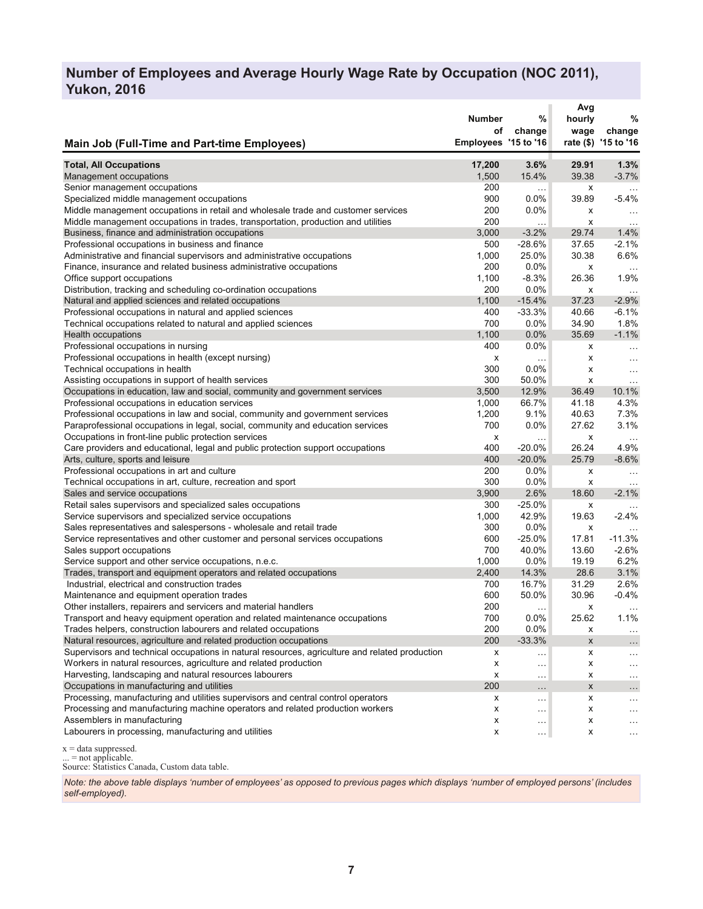## **Number of Employees and Average Hourly Wage Rate by Occupation (NOC 2011), Yukon, 2016**

|                                                                                                | <b>Number</b><br>οf  | %<br>change          | Avg<br>hourly<br>wage | %<br>change          |
|------------------------------------------------------------------------------------------------|----------------------|----------------------|-----------------------|----------------------|
| Main Job (Full-Time and Part-time Employees)                                                   | Employees '15 to '16 |                      |                       | rate (\$) '15 to '16 |
| <b>Total, All Occupations</b>                                                                  | 17,200               | 3.6%                 | 29.91                 | 1.3%                 |
| Management occupations                                                                         | 1,500                | 15.4%                | 39.38                 | $-3.7%$              |
| Senior management occupations                                                                  | 200                  | .                    | х                     | $\sim$ .             |
| Specialized middle management occupations                                                      | 900                  | 0.0%                 | 39.89                 | $-5.4%$              |
| Middle management occupations in retail and wholesale trade and customer services              | 200                  | $0.0\%$              | x                     | $\cdots$             |
| Middle management occupations in trades, transportation, production and utilities              | 200                  |                      | х                     | $\ddotsc$            |
| Business, finance and administration occupations                                               | 3,000                | $-3.2%$              | 29.74                 | 1.4%                 |
| Professional occupations in business and finance                                               | 500                  | $-28.6%$             | 37.65                 | $-2.1%$              |
| Administrative and financial supervisors and administrative occupations                        | 1,000                | 25.0%                | 30.38                 | 6.6%                 |
| Finance, insurance and related business administrative occupations                             | 200                  | 0.0%                 | х                     |                      |
| Office support occupations                                                                     | 1,100                | $-8.3%$              | 26.36                 | 1.9%                 |
| Distribution, tracking and scheduling co-ordination occupations                                | 200                  | $0.0\%$              | х                     | $\ddotsc$            |
| Natural and applied sciences and related occupations                                           | 1,100                | $-15.4%$             | 37.23                 | $-2.9%$              |
| Professional occupations in natural and applied sciences                                       | 400                  | $-33.3%$             | 40.66                 | $-6.1%$              |
| Technical occupations related to natural and applied sciences                                  | 700                  | 0.0%                 | 34.90                 | 1.8%                 |
| Health occupations                                                                             | 1,100                | 0.0%                 | 35.69                 | $-1.1%$              |
| Professional occupations in nursing                                                            | 400                  | $0.0\%$              | x                     | $\sim$ $\sim$        |
| Professional occupations in health (except nursing)                                            | х                    | $\cdots$             | х                     | $\sim$ .             |
| Technical occupations in health                                                                | 300                  | 0.0%                 | х                     | $\ddotsc$            |
| Assisting occupations in support of health services                                            | 300                  | 50.0%                | x                     | $\ldots$             |
| Occupations in education, law and social, community and government services                    | 3,500                | 12.9%                | 36.49                 | 10.1%                |
| Professional occupations in education services                                                 | 1,000                | 66.7%                | 41.18                 | 4.3%                 |
| Professional occupations in law and social, community and government services                  | 1,200                | 9.1%                 | 40.63                 | 7.3%                 |
| Paraprofessional occupations in legal, social, community and education services                | 700                  | $0.0\%$              | 27.62                 | 3.1%                 |
| Occupations in front-line public protection services                                           | х                    | $\ldots$             | X                     | $\ddotsc$            |
| Care providers and educational, legal and public protection support occupations                | 400                  | $-20.0\%$            | 26.24                 | 4.9%                 |
| Arts, culture, sports and leisure                                                              | 400                  | $-20.0%$             | 25.79                 | $-8.6%$              |
| Professional occupations in art and culture                                                    | 200                  | 0.0%                 | x                     | $\sim$ $\sim$        |
| Technical occupations in art, culture, recreation and sport                                    | 300                  | 0.0%                 | x                     | $\cdots$             |
| Sales and service occupations                                                                  | 3,900                | 2.6%                 | 18.60                 | $-2.1%$              |
| Retail sales supervisors and specialized sales occupations                                     | 300                  | $-25.0%$             | x                     |                      |
| Service supervisors and specialized service occupations                                        | 1,000                | 42.9%                | 19.63                 | $-2.4%$              |
| Sales representatives and salespersons - wholesale and retail trade                            | 300                  | 0.0%                 | х                     | $\cdots$             |
| Service representatives and other customer and personal services occupations                   | 600                  | $-25.0%$             | 17.81                 | $-11.3%$             |
| Sales support occupations                                                                      | 700                  | 40.0%                | 13.60                 | $-2.6%$              |
| Service support and other service occupations, n.e.c.                                          | 1,000                | 0.0%                 | 19.19                 | 6.2%                 |
| Trades, transport and equipment operators and related occupations                              | 2,400                | 14.3%                | 28.6                  | 3.1%                 |
| Industrial, electrical and construction trades                                                 | 700                  | 16.7%                | 31.29                 | 2.6%                 |
| Maintenance and equipment operation trades                                                     | 600                  | 50.0%                | 30.96                 | $-0.4%$              |
| Other installers, repairers and servicers and material handlers                                | 200                  | $\cdots$             | х                     |                      |
| Transport and heavy equipment operation and related maintenance occupations                    | 700                  | 0.0%                 | 25.62                 | 1.1%                 |
| Trades helpers, construction labourers and related occupations                                 | 200                  | 0.0%                 | х                     | $\ldots$             |
| Natural resources, agriculture and related production occupations                              | 200                  | $-33.3%$             | x                     | $\cdots$             |
| Supervisors and technical occupations in natural resources, agriculture and related production | х                    | .                    | x                     | .                    |
| Workers in natural resources, agriculture and related production                               | x                    | $\sim$ $\sim$        | х                     | $\cdots$             |
| Harvesting, landscaping and natural resources labourers                                        | х                    | $\sim$ $\sim$ $\sim$ | х                     | $\sim$ $\sim$ $\sim$ |
| Occupations in manufacturing and utilities                                                     | 200                  | $\ddotsc$            | X                     | $\ddotsc$            |
| Processing, manufacturing and utilities supervisors and central control operators              | x                    | $\ddotsc$            | х                     | $\cdots$             |
| Processing and manufacturing machine operators and related production workers                  | x                    | $\sim$ $\sim$        | x                     | $\ldots$             |
| Assemblers in manufacturing                                                                    | x                    | $\cdots$             | x                     | $\sim$ $\sim$ $\sim$ |
| Labourers in processing, manufacturing and utilities                                           | x                    | $\cdots$             | x                     | $\sim$ .             |

 $x = data$  suppressed.

... = not applicable.

Source: Statistics Canada, Custom data table.

*Note: the above table displays 'number of employees' as opposed to previous pages which displays 'number of employed persons' (includes self-employed).*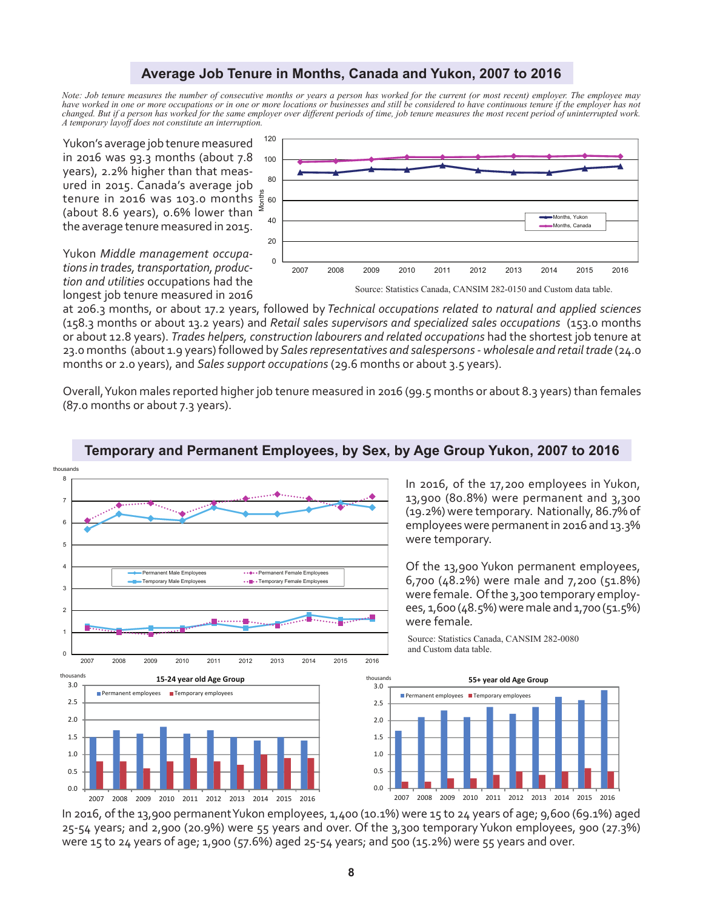## **Average Job Tenure in Months, Canada and Yukon, 2007 to 2016**

*Note: Job tenure measures the number of consecutive months or years a person has worked for the current (or most recent) employer. The employee may have worked in one or more occupations or in one or more locations or businesses and still be considered to have continuous tenure if the employer has not changed. But if a person has worked for the same employer over different periods of time, job tenure measures the most recent period of uninterrupted work. A temporary layoff does not constitute an interruption.*

Yukon's average job tenure measured in 2016 was 93.3 months (about 7.8 years), 2.2% higher than that measured in 2015. Canada's average job tenure in 2016 was 103.0 months (about 8.6 years), 0.6% lower than the average tenure measured in 2015. Months





at 206.3 months, or about 17.2 years, followed by *Technical occupations related to natural and applied sciences* (158.3 months or about 13.2 years) and *Retail sales supervisors and specialized sales occupations* (153.0 months or about 12.8 years). *Trades helpers, construction labourers and related occupations* had the shortest job tenure at 23.0 months (about 1.9 years) followed by *Sales representatives and salespersons - wholesale and retail trade* (24.0 months or 2.0 years), and *Sales support occupations* (29.6 months or about 3.5 years).

Overall, Yukon males reported higher job tenure measured in 2016 (99.5 months or about 8.3 years) than females (87.0 months or about 7.3 years).



## **Temporary and Permanent Employees, by Sex, by Age Group Yukon, 2007 to 2016**

In 2016, of the 17,200 employees in Yukon, 13,900 (80.8%) were permanent and 3,300 (19.2%) were temporary. Nationally, 86.7% of employees were permanent in 2016 and 13.3% were temporary.

Of the 13,900 Yukon permanent employees, 6,700 (48.2%) were male and 7,200 (51.8%) were female. Of the 3,300 temporary employees, 1,600 (48.5%) were male and 1,700 (51.5%) were female*.* 

Source: Statistics Canada, CANSIM 282-0080 and Custom data table.



In 2016, of the 13,900 permanent Yukon employees, 1,400 (10.1%) were 15 to 24 years of age; 9,600 (69.1%) aged 25-54 years; and 2,900 (20.9%) were 55 years and over. Of the 3,300 temporary Yukon employees, 900 (27.3%) were 15 to 24 years of age; 1,900 (57.6%) aged 25-54 years; and 500 (15.2%) were 55 years and over.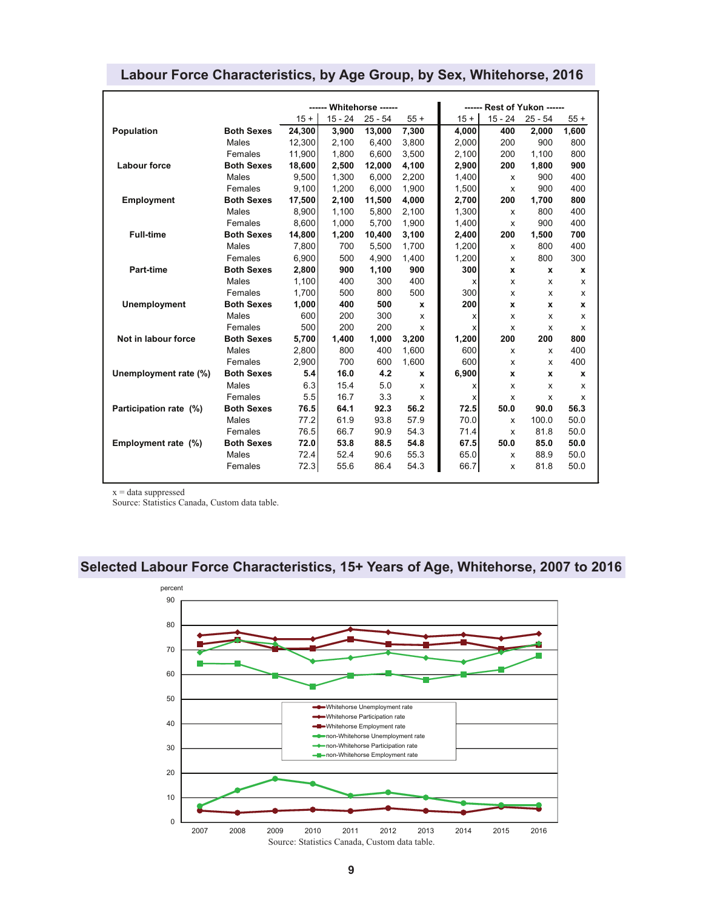|                        |                   | ------ Whitehorse ------ |           |           |              | ------ Rest of Yukon ------ |              |              |       |
|------------------------|-------------------|--------------------------|-----------|-----------|--------------|-----------------------------|--------------|--------------|-------|
|                        |                   | $15 +$                   | $15 - 24$ | $25 - 54$ | $55+$        | $15 +$                      | $15 - 24$    | $25 - 54$    | $55+$ |
| Population             | <b>Both Sexes</b> | 24,300                   | 3,900     | 13,000    | 7,300        | 4,000                       | 400          | 2,000        | 1,600 |
|                        | Males             | 12.300                   | 2.100     | 6.400     | 3,800        | 2.000                       | 200          | 900          | 800   |
|                        | Females           | 11.900                   | 1.800     | 6.600     | 3,500        | 2,100                       | 200          | 1,100        | 800   |
| <b>Labour force</b>    | <b>Both Sexes</b> | 18,600                   | 2,500     | 12.000    | 4,100        | 2,900                       | 200          | 1,800        | 900   |
|                        | Males             | 9.500                    | 1.300     | 6.000     | 2,200        | 1,400                       | x            | 900          | 400   |
|                        | Females           | 9.100                    | 1.200     | 6.000     | 1.900        | 1,500                       | X            | 900          | 400   |
| <b>Employment</b>      | <b>Both Sexes</b> | 17,500                   | 2,100     | 11.500    | 4,000        | 2,700                       | 200          | 1,700        | 800   |
|                        | Males             | 8,900                    | 1,100     | 5,800     | 2,100        | 1,300                       | X            | 800          | 400   |
|                        | Females           | 8.600                    | 1.000     | 5.700     | 1,900        | 1,400                       | X            | 900          | 400   |
| <b>Full-time</b>       | <b>Both Sexes</b> | 14,800                   | 1,200     | 10,400    | 3,100        | 2,400                       | 200          | 1,500        | 700   |
|                        | Males             | 7,800                    | 700       | 5,500     | 1,700        | 1,200                       | X            | 800          | 400   |
|                        | Females           | 6,900                    | 500       | 4,900     | 1,400        | 1,200                       | X            | 800          | 300   |
| <b>Part-time</b>       | <b>Both Sexes</b> | 2,800                    | 900       | 1,100     | 900          | 300                         | x            | X            | x     |
|                        | Males             | 1.100                    | 400       | 300       | 400          | x                           | x            | x            | x     |
|                        | Females           | 1,700                    | 500       | 800       | 500          | 300                         | x            | x            | X     |
| <b>Unemployment</b>    | <b>Both Sexes</b> | 1,000                    | 400       | 500       | X            | 200                         | x            | x            | x     |
|                        | Males             | 600                      | 200       | 300       | x            | x                           | x            | x            | x     |
|                        | Females           | 500                      | 200       | 200       | x            | x                           | X            | X            | x     |
| Not in labour force    | <b>Both Sexes</b> | 5.700                    | 1,400     | 1.000     | 3,200        | 1,200                       | 200          | 200          | 800   |
|                        | Males             | 2,800                    | 800       | 400       | 1,600        | 600                         | X            | x            | 400   |
|                        | Females           | 2.900                    | 700       | 600       | 1.600        | 600                         | X            | x            | 400   |
| Unemployment rate (%)  | <b>Both Sexes</b> | 5.4                      | 16.0      | 4.2       | $\mathbf{x}$ | 6,900                       | $\mathbf{x}$ | $\mathbf{x}$ | x     |
|                        | Males             | 6.3                      | 15.4      | 5.0       | X            | х                           | X            | X            | x     |
|                        | Females           | 5.5                      | 16.7      | 3.3       | x            | x                           | x            | x            | x     |
| Participation rate (%) | <b>Both Sexes</b> | 76.5                     | 64.1      | 92.3      | 56.2         | 72.5                        | 50.0         | 90.0         | 56.3  |
|                        | Males             | 77.2                     | 61.9      | 93.8      | 57.9         | 70.0                        | X            | 100.0        | 50.0  |
|                        | Females           | 76.5                     | 66.7      | 90.9      | 54.3         | 71.4                        | X            | 81.8         | 50.0  |
| Employment rate (%)    | <b>Both Sexes</b> | 72.0                     | 53.8      | 88.5      | 54.8         | 67.5                        | 50.0         | 85.0         | 50.0  |
|                        | Males             | 72.4                     | 52.4      | 90.6      | 55.3         | 65.0                        | x            | 88.9         | 50.0  |
|                        | Females           | 72.3                     | 55.6      | 86.4      | 54.3         | 66.7                        | X            | 81.8         | 50.0  |

## **Labour Force Characteristics, by Age Group, by Sex, Whitehorse, 2016**

 $\mathbf{x} = \text{data}$  suppressed

Source: Statistics Canada, Custom data table.

# **Selected Labour Force Characteristics, 15+ Years of Age, Whitehorse, 2007 to 2016**

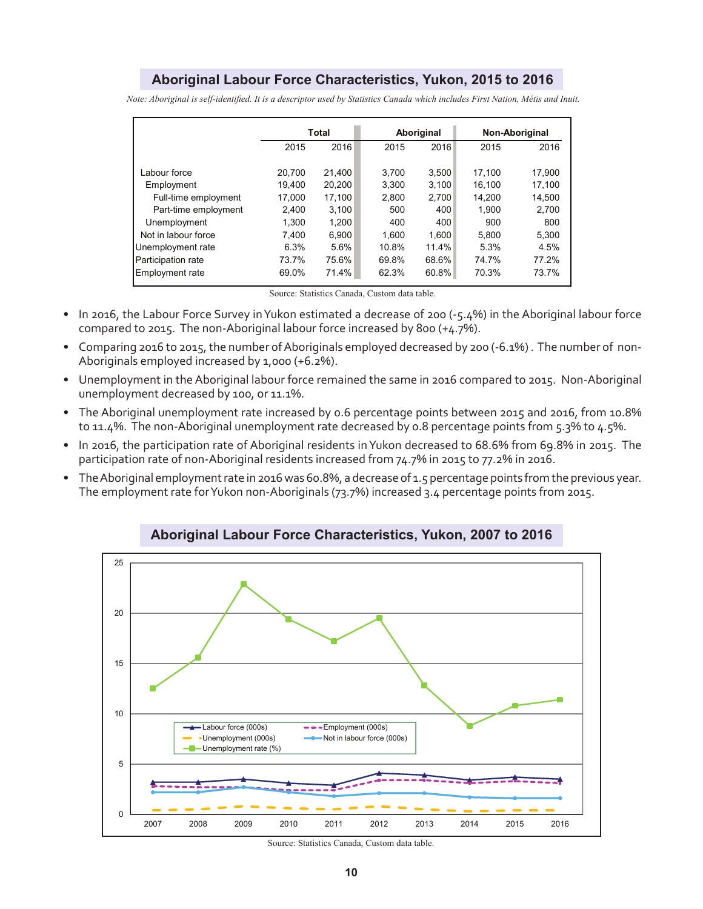## **Aboriginal Labour Force Characteristics, Yukon, 2015 to 2016**

*Note: Aboriginal is self-identified. It is a descriptor used by Statistics Canada which includes First Nation, Métis and Inuit.*

|                        | Total  |        |       | Aboriginal | Non-Aboriginal |        |
|------------------------|--------|--------|-------|------------|----------------|--------|
|                        | 2015   | 2016   | 2015  | 2016       | 2015           | 2016   |
|                        |        |        |       |            |                |        |
| Labour force           | 20.700 | 21.400 | 3.700 | 3.500      | 17.100         | 17.900 |
| Employment             | 19.400 | 20.200 | 3.300 | 3.100      | 16.100         | 17.100 |
| Full-time employment   | 17.000 | 17,100 | 2.800 | 2,700      | 14.200         | 14,500 |
| Part-time employment   | 2.400  | 3.100  | 500   | 400        | 1.900          | 2.700  |
| Unemployment           | 1.300  | 1,200  | 400   | 400        | 900            | 800    |
| Not in labour force    | 7.400  | 6.900  | 1.600 | 1.600      | 5.800          | 5.300  |
| Unemployment rate      | 6.3%   | 5.6%   | 10.8% | 11.4%      | 5.3%           | 4.5%   |
| Participation rate     | 73.7%  | 75.6%  | 69.8% | 68.6%      | 74.7%          | 77.2%  |
| <b>Employment rate</b> | 69.0%  | 71.4%  | 62.3% | 60.8%      | 70.3%          | 73.7%  |

Source: Statistics Canada, Custom data table.

- In 2016, the Labour Force Survey in Yukon estimated a decrease of 200 (-5.4%) in the Aboriginal labour force compared to 2015. The non-Aboriginal labour force increased by 800 (+4.7%).
- Comparing 2016 to 2015, the number of Aboriginals employed decreased by 200 (-6.1%) . The number of non-Aboriginals employed increased by 1,000 (+6.2%).
- Unemployment in the Aboriginal labour force remained the same in 2016 compared to 2015. Non-Aboriginal unemployment decreased by 100, or 11.1%.
- The Aboriginal unemployment rate increased by 0.6 percentage points between 2015 and 2016, from 10.8% to 11.4%. The non-Aboriginal unemployment rate decreased by 0.8 percentage points from 5.3% to 4.5%.
- In 2016, the participation rate of Aboriginal residents in Yukon decreased to 68.6% from 69.8% in 2015. The participation rate of non-Aboriginal residents increased from 74.7% in 2015 to 77.2% in 2016.
- The Aboriginal employment rate in 2016 was 60.8%, a decrease of 1.5 percentage points from the previous year. The employment rate for Yukon non-Aboriginals (73.7%) increased 3.4 percentage points from 2015.



**Aboriginal Labour Force Characteristics, Yukon, 2007 to 2016**

Source: Statistics Canada, Custom data table.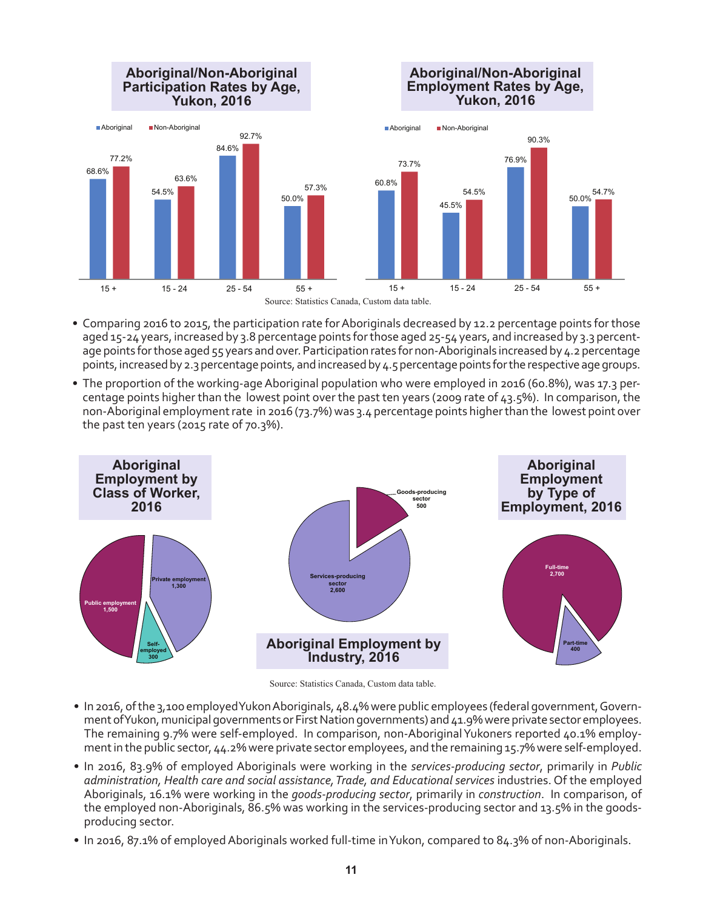

- Comparing 2016 to 2015, the participation rate for Aboriginals decreased by 12.2 percentage points for those aged 15-24 years, increased by 3.8 percentage points for those aged 25-54 years, and increased by 3.3 percentage points for those aged 55 years and over. Participation rates for non-Aboriginals increased by 4.2 percentage points, increased by 2.3 percentage points, and increased by 4.5 percentage points for the respective age groups.
- The proportion of the working-age Aboriginal population who were employed in 2016 (60.8%), was 17.3 percentage points higher than the lowest point over the past ten years (2009 rate of 43.5%). In comparison, the non-Aboriginal employment rate in 2016 (73.7%) was 3.4 percentage points higher than the lowest point over the past ten years (2015 rate of 70.3%).



Source: Statistics Canada, Custom data table.

- In 2016, of the 3,100 employed Yukon Aboriginals, 48.4% were public employees (federal government, Government of Yukon, municipal governments or First Nation governments) and 41.9% were private sector employees. The remaining 9.7% were self-employed. In comparison, non-Aboriginal Yukoners reported 40.1% employment in the public sector, 44.2% were private sector employees, and the remaining 15.7% were self-employed.
- In 2016, 83.9% of employed Aboriginals were working in the *services-producing sector*, primarily in *Public administration, Health care and social assistance, Trade, and Educational services* industries. Of the employed Aboriginals, 16.1% were working in the *goods-producing sector*, primarily in *construction*. In comparison, of the employed non-Aboriginals, 86.5% was working in the services-producing sector and 13.5% in the goodsproducing sector.
- In 2016, 87.1% of employed Aboriginals worked full-time in Yukon, compared to 84.3% of non-Aboriginals.